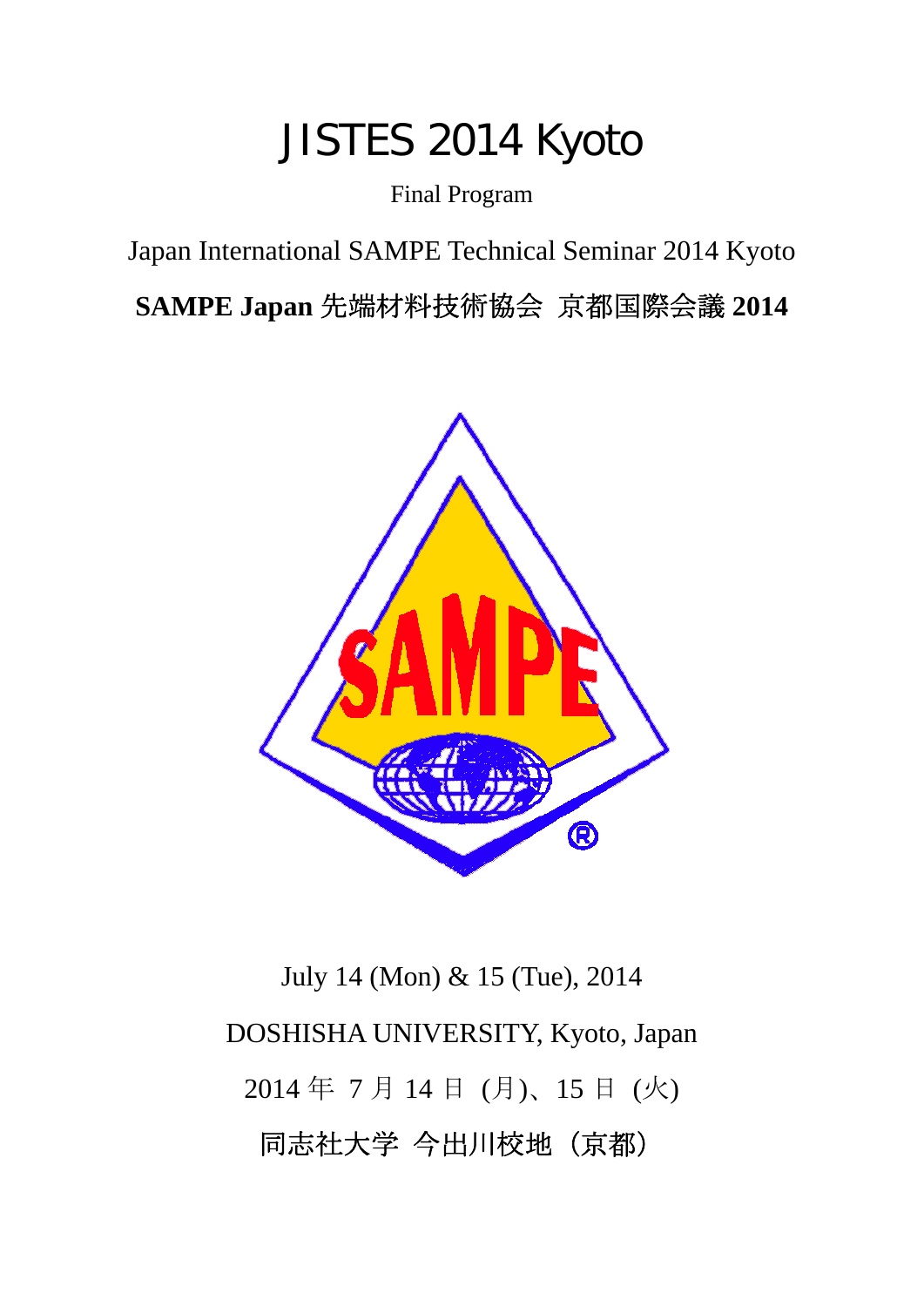# JISTES 2014 Kyoto

Final Program

Japan International SAMPE Technical Seminar 2014 Kyoto

**SAMPE Japan** 先端材料技術協会 京都国際会議 **2014**



July 14 (Mon) & 15 (Tue), 2014 DOSHISHA UNIVERSITY, Kyoto, Japan 2014 年 7 月 14 日 (月)、15 日 (火) 同志社大学 今出川校地(京都)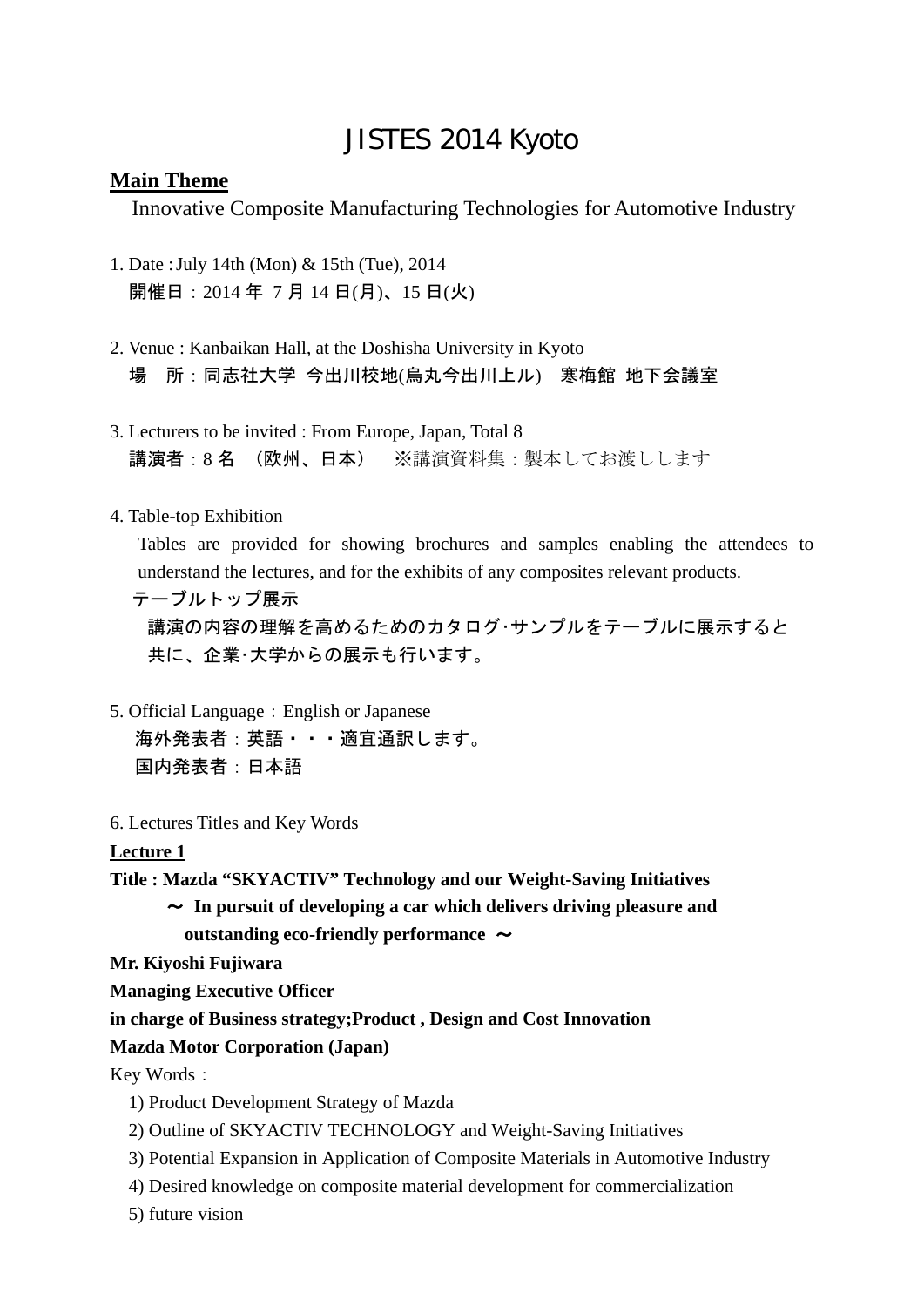## JISTES 2014 Kyoto

#### **Main Theme**

Innovative Composite Manufacturing Technologies for Automotive Industry

- 1. Date : July 14th (Mon) & 15th (Tue), 2014 開催日:2014 年 7 月 14 日(月)、15 日(火)
- 2. Venue : Kanbaikan Hall, at the Doshisha University in Kyoto 場 所:同志社大学 今出川校地(烏丸今出川上ル) 寒梅館 地下会議室
- 3. Lecturers to be invited : From Europe, Japan, Total 8 講演者:8 名 (欧州、日本) ※講演資料集:製本してお渡しします
- 4. Table-top Exhibition

 Tables are provided for showing brochures and samples enabling the attendees to understand the lectures, and for the exhibits of any composites relevant products.

 テーブルトップ展示 講演の内容の理解を高めるためのカタログ・サンプルをテーブルに展示すると 共に、企業・大学からの展示も行います。

- 5. Official Language: English or Japanese 海外発表者:英語・・・適宜通訳します。 国内発表者:日本語
- 6. Lectures Titles and Key Words

#### **Lecture 1**

**Title : Mazda "SKYACTIV" Technology and our Weight-Saving Initiatives** 

~ **In pursuit of developing a car which delivers driving pleasure and outstanding eco-friendly performance** ~

**Mr. Kiyoshi Fujiwara** 

**Managing Executive Officer** 

**in charge of Business strategy;Product , Design and Cost Innovation** 

#### **Mazda Motor Corporation (Japan)**

Key Words:

- 1) Product Development Strategy of Mazda
- 2) Outline of SKYACTIV TECHNOLOGY and Weight-Saving Initiatives
- 3) Potential Expansion in Application of Composite Materials in Automotive Industry
- 4) Desired knowledge on composite material development for commercialization

5) future vision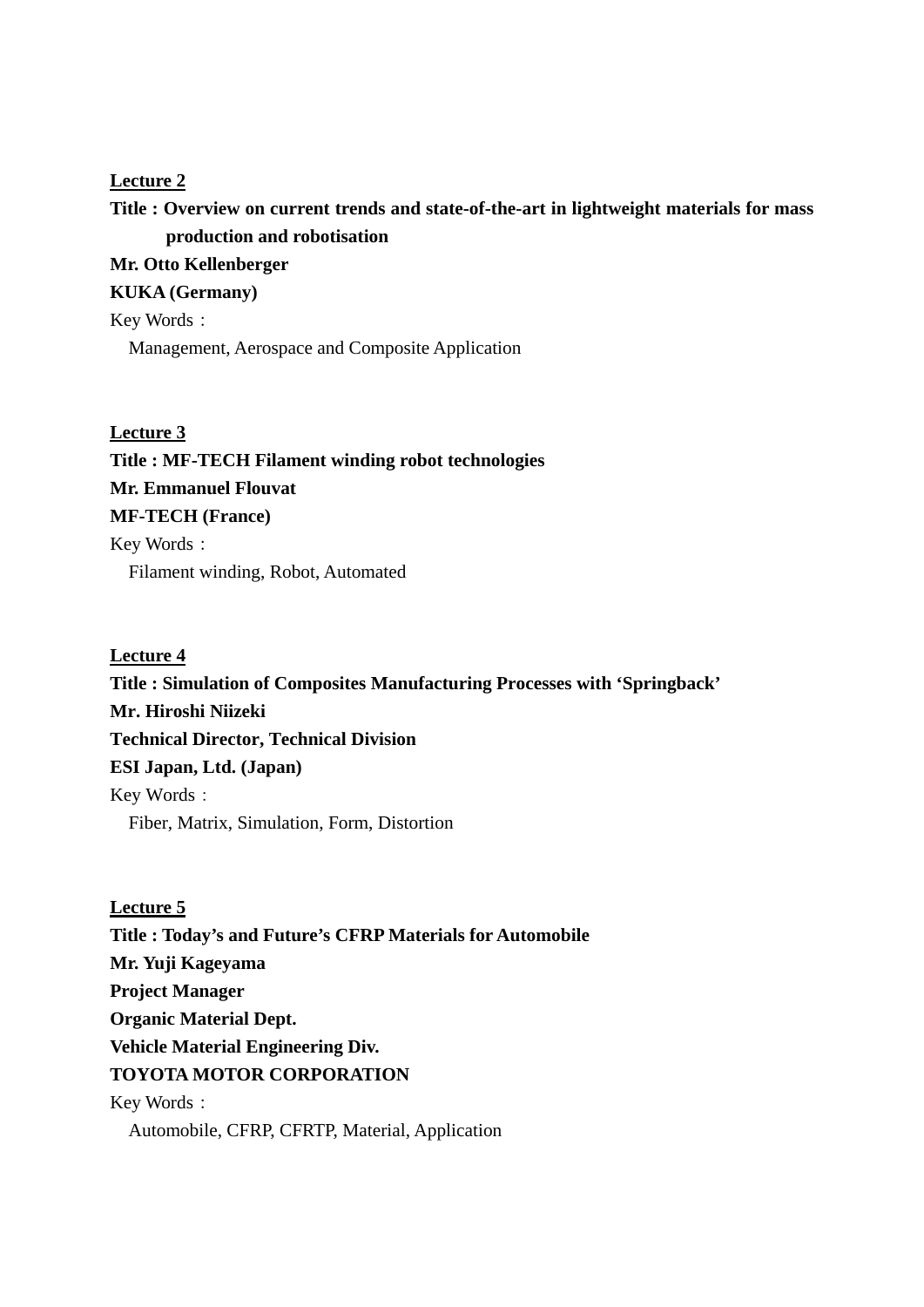#### **Lecture 2**

## **Title : Overview on current trends and state-of-the-art in lightweight materials for mass production and robotisation**

#### **Mr. Otto Kellenberger**

**KUKA (Germany)** 

Key Words:

Management, Aerospace and Composite Application

#### **Lecture 3**

## **Title : MF-TECH Filament winding robot technologies Mr. Emmanuel Flouvat MF-TECH (France)**  Key Words: Filament winding, Robot, Automated

#### **Lecture 4**

**Title : Simulation of Composites Manufacturing Processes with 'Springback' Mr. Hiroshi Niizeki Technical Director, Technical Division ESI Japan, Ltd. (Japan)**  Key Words: Fiber, Matrix, Simulation, Form, Distortion

#### **Lecture 5**

**Title : Today's and Future's CFRP Materials for Automobile Mr. Yuji Kageyama Project Manager Organic Material Dept. Vehicle Material Engineering Div. TOYOTA MOTOR CORPORATION**  Key Words: Automobile, CFRP, CFRTP, Material, Application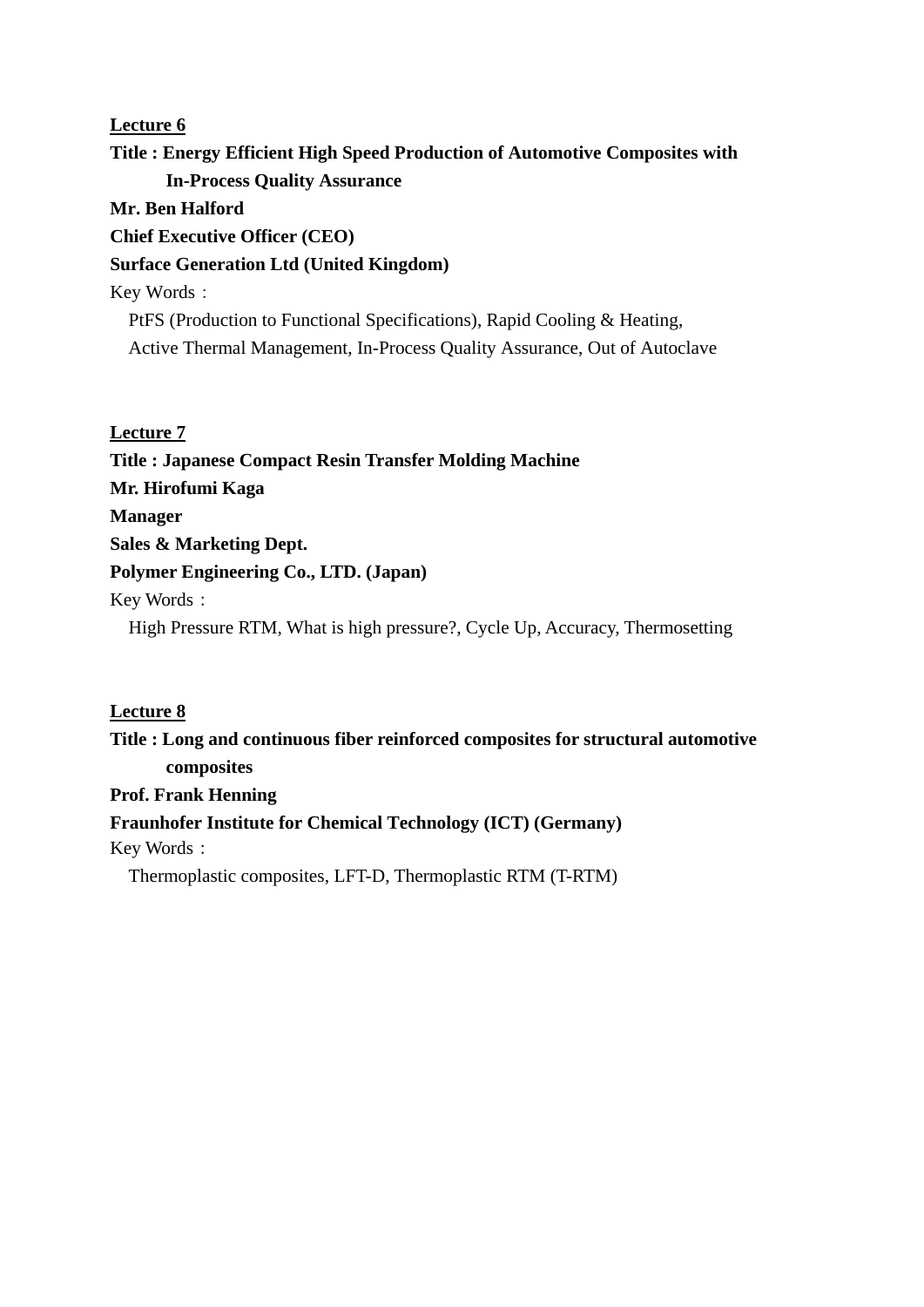#### **Lecture 6**

## **Title : Energy Efficient High Speed Production of Automotive Composites with In-Process Quality Assurance**

#### **Mr. Ben Halford**

**Chief Executive Officer (CEO)** 

#### **Surface Generation Ltd (United Kingdom)**

Key Words:

PtFS (Production to Functional Specifications), Rapid Cooling & Heating, Active Thermal Management, In-Process Quality Assurance, Out of Autoclave

#### **Lecture 7**

**Title : Japanese Compact Resin Transfer Molding Machine Mr. Hirofumi Kaga Manager Sales & Marketing Dept. Polymer Engineering Co., LTD. (Japan)**  Key Words: High Pressure RTM, What is high pressure?, Cycle Up, Accuracy, Thermosetting

#### **Lecture 8**

**Title : Long and continuous fiber reinforced composites for structural automotive composites Prof. Frank Henning Fraunhofer Institute for Chemical Technology (ICT) (Germany)**  Key Words: Thermoplastic composites, LFT-D, Thermoplastic RTM (T-RTM)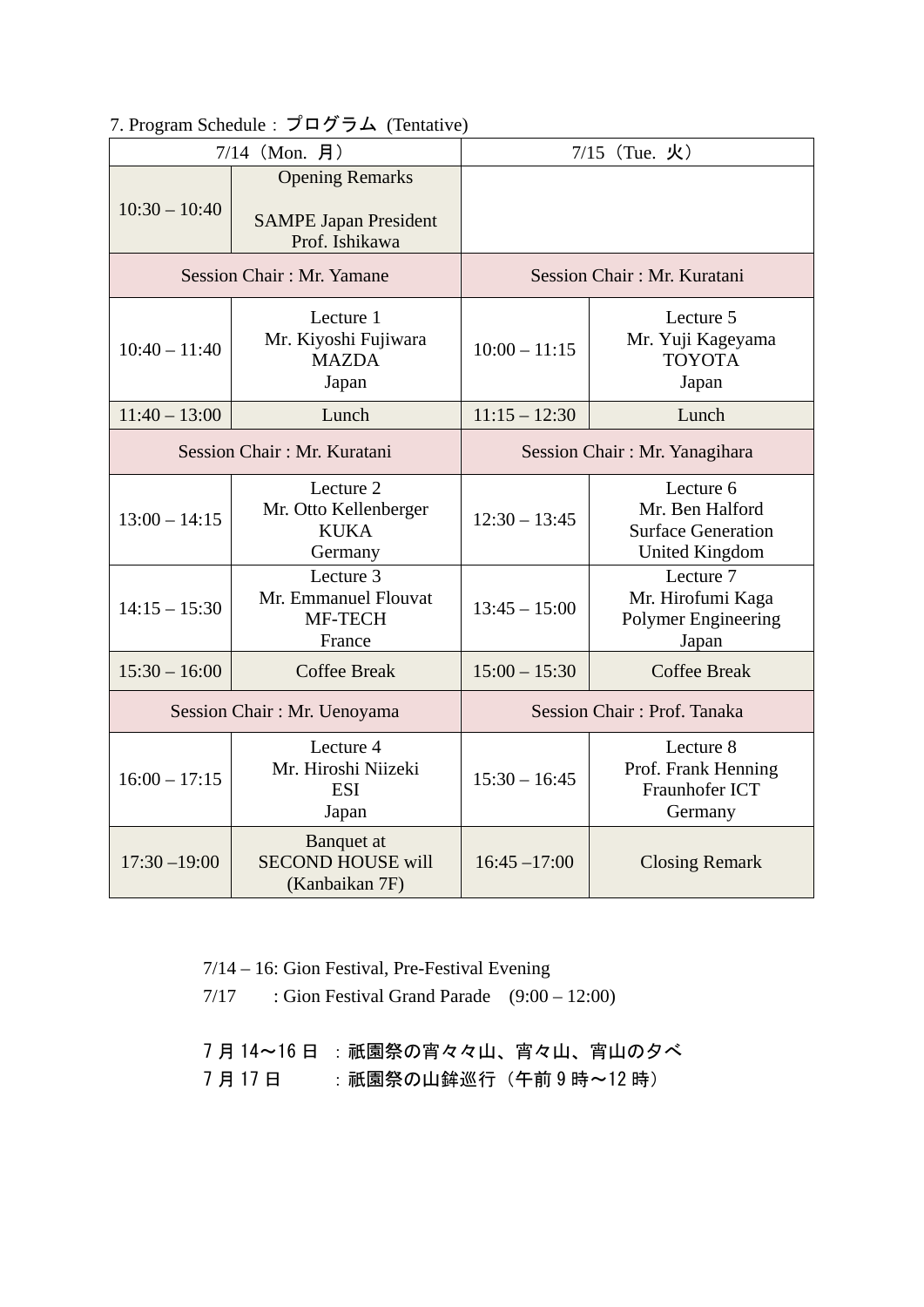## 7. Program Schedule:プログラム (Tentative)

| $7/14$ (Mon. 月)                  |                                                                          | $7/15$ (Tue. 火)               |                                                                                    |
|----------------------------------|--------------------------------------------------------------------------|-------------------------------|------------------------------------------------------------------------------------|
| $10:30 - 10:40$                  | <b>Opening Remarks</b><br><b>SAMPE Japan President</b><br>Prof. Ishikawa |                               |                                                                                    |
| <b>Session Chair: Mr. Yamane</b> |                                                                          | Session Chair: Mr. Kuratani   |                                                                                    |
| $10:40 - 11:40$                  | Lecture 1<br>Mr. Kiyoshi Fujiwara<br><b>MAZDA</b><br>Japan               | $10:00 - 11:15$               | Lecture 5<br>Mr. Yuji Kageyama<br><b>TOYOTA</b><br>Japan                           |
| $11:40 - 13:00$                  | Lunch                                                                    | $11:15 - 12:30$               | Lunch                                                                              |
| Session Chair: Mr. Kuratani      |                                                                          | Session Chair: Mr. Yanagihara |                                                                                    |
| $13:00 - 14:15$                  | Lecture 2<br>Mr. Otto Kellenberger<br><b>KUKA</b><br>Germany             | $12:30 - 13:45$               | Lecture 6<br>Mr. Ben Halford<br><b>Surface Generation</b><br><b>United Kingdom</b> |
| $14:15 - 15:30$                  | Lecture 3<br>Mr. Emmanuel Flouvat<br>MF-TECH<br>France                   | $13:45 - 15:00$               | Lecture 7<br>Mr. Hirofumi Kaga<br>Polymer Engineering<br>Japan                     |
| $15:30 - 16:00$                  | <b>Coffee Break</b>                                                      | $15:00 - 15:30$               | <b>Coffee Break</b>                                                                |
| Session Chair: Mr. Uenoyama      |                                                                          | Session Chair: Prof. Tanaka   |                                                                                    |
| $16:00 - 17:15$                  | Lecture 4<br>Mr. Hiroshi Niizeki<br><b>ESI</b><br>Japan                  | $15:30 - 16:45$               | Lecture 8<br>Prof. Frank Henning<br>Fraunhofer ICT<br>Germany                      |
| $17:30 - 19:00$                  | Banquet at<br><b>SECOND HOUSE will</b><br>(Kanbaikan 7F)                 | $16:45 - 17:00$               | <b>Closing Remark</b>                                                              |

7/14 – 16: Gion Festival, Pre-Festival Evening

 $7/17$  : Gion Festival Grand Parade  $(9:00 - 12:00)$ 

7月14~16日: 祇園祭の宵々々山、宵々山、宵山の夕べ

7月17日 : 祇園祭の山鉾巡行 (午前9時~12時)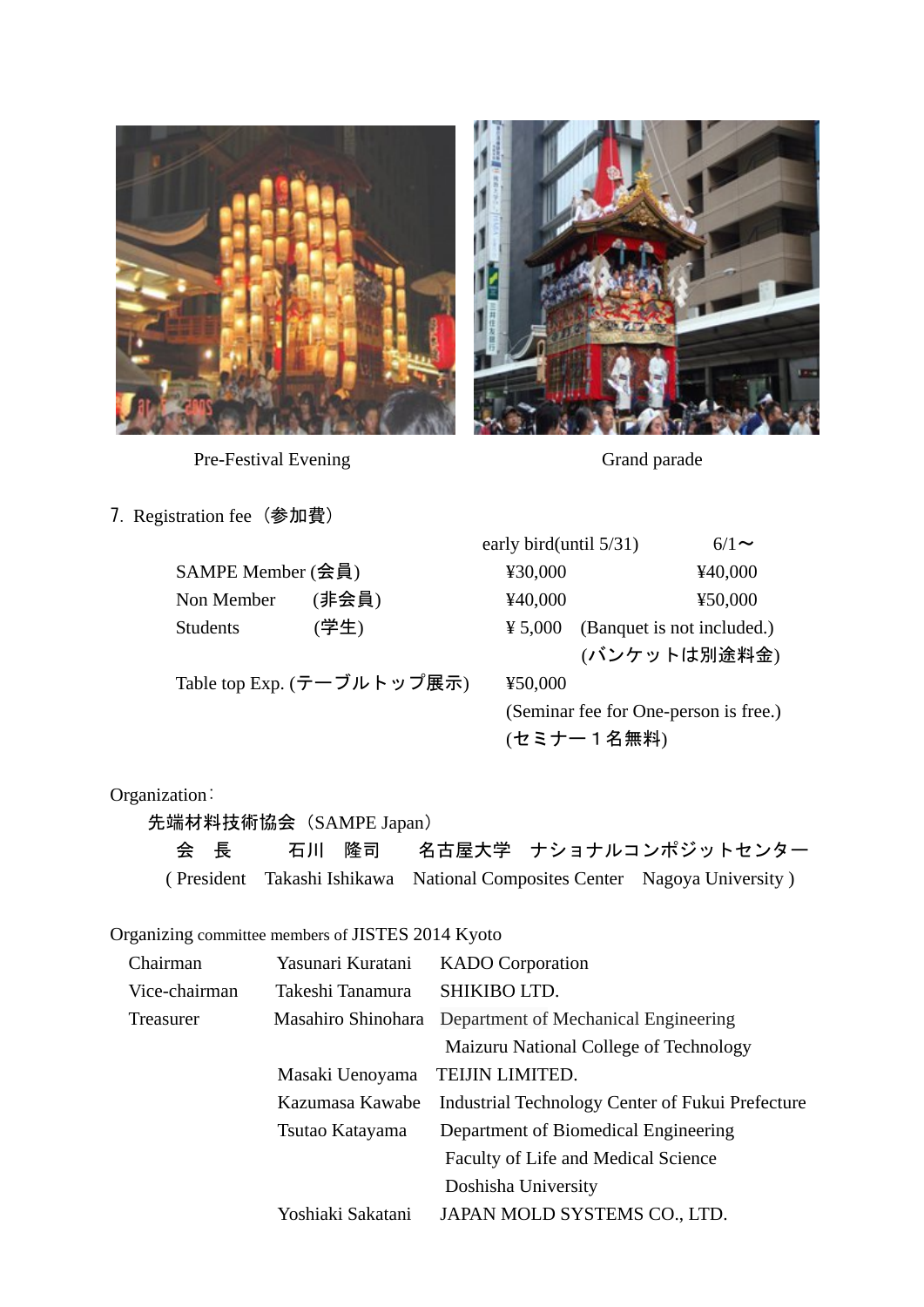

Pre-Festival Evening Grand parade



7. Registration fee (参加費)

| SAMPE Member (会員) |       |
|-------------------|-------|
| Non Member        | (非会員) |
| <b>Students</b>   | (学生)  |

Table top Exp.  $(\bar{\tau} - \vec{J})$ ルトップ展示) ¥50,000

early bird(until 5/31) 6/1 $\sim$  $\text{\textsterling}30,000$   $\text{\textsterling}40,000$ Non Member (非会員) ¥40,000 ¥50,000  $\text{\yen} 5,000$  (Banquet is not included.) (バンケットは別途料金) (Seminar fee for One-person is free.) (セミナー1名無料)

#### Organization:

先端材料技術協会(SAMPE Japan)

会 長 石川 隆司 名古屋大学 ナショナルコンポジットセンター ( President Takashi Ishikawa National Composites Center Nagoya University )

Organizing committee members of JISTES 2014 Kyoto

| Chairman      | Yasunari Kuratani  | <b>KADO</b> Corporation                          |
|---------------|--------------------|--------------------------------------------------|
| Vice-chairman | Takeshi Tanamura   | SHIKIBO LTD.                                     |
| Treasurer     | Masahiro Shinohara | Department of Mechanical Engineering             |
|               |                    | Maizuru National College of Technology           |
|               | Masaki Uenoyama    | TEIJIN LIMITED.                                  |
|               | Kazumasa Kawabe    | Industrial Technology Center of Fukui Prefecture |
|               | Tsutao Katayama    | Department of Biomedical Engineering             |
|               |                    | Faculty of Life and Medical Science              |
|               |                    | Doshisha University                              |
|               | Yoshiaki Sakatani  | JAPAN MOLD SYSTEMS CO., LTD.                     |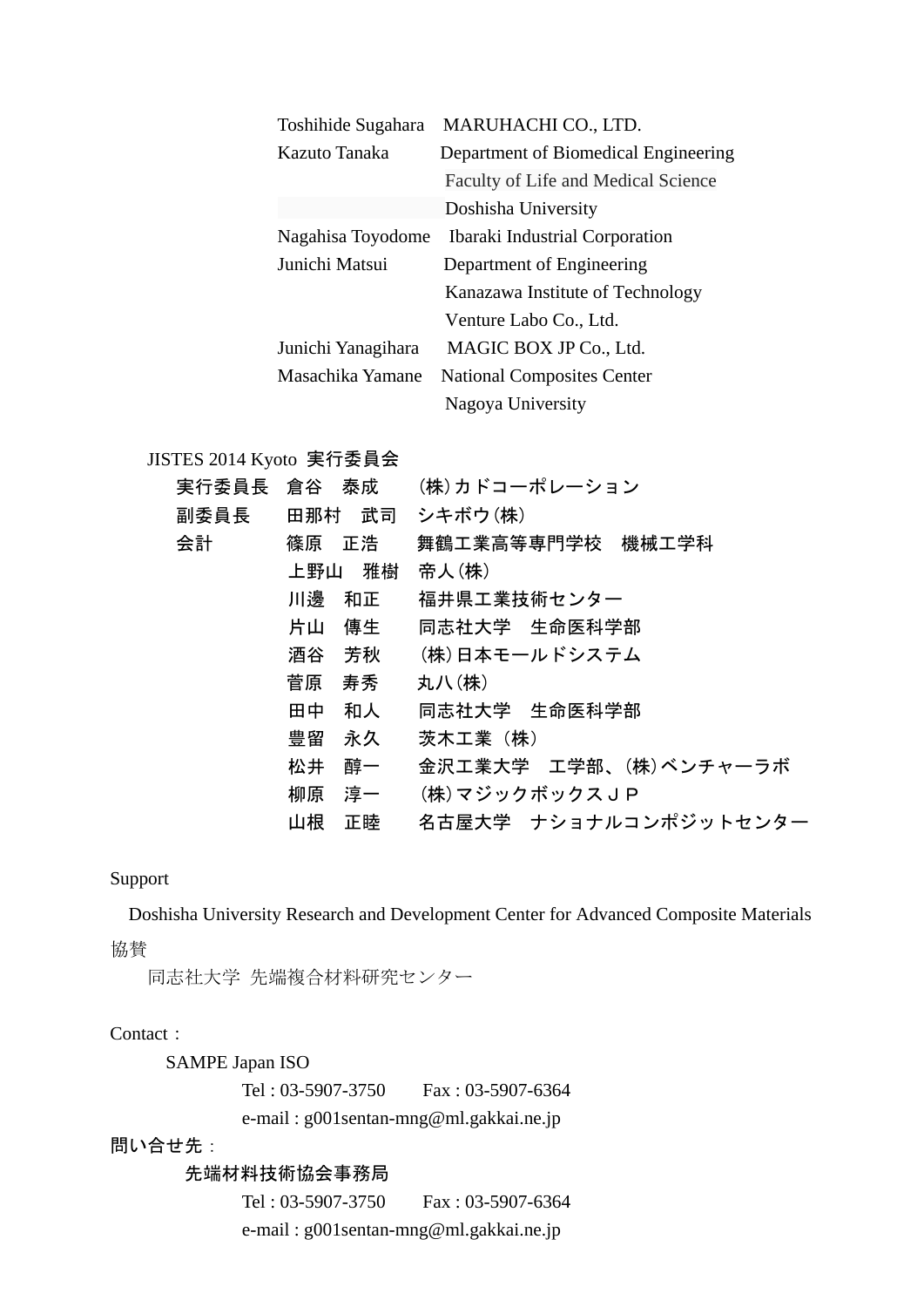| Toshihide Sugahara | MARUHACHI CO., LTD.                   |
|--------------------|---------------------------------------|
| Kazuto Tanaka      | Department of Biomedical Engineering  |
|                    | Faculty of Life and Medical Science   |
|                    | Doshisha University                   |
| Nagahisa Toyodome  | <b>Ibaraki Industrial Corporation</b> |
| Junichi Matsui     | Department of Engineering             |
|                    | Kanazawa Institute of Technology      |
|                    | Venture Labo Co., Ltd.                |
| Junichi Yanagihara | MAGIC BOX JP Co., Ltd.                |
| Masachika Yamane   | <b>National Composites Center</b>     |
|                    | Nagoya University                     |

#### JISTES 2014 Kyoto 実行委員会

|      | 実行委員長 倉谷 泰成 | (株)カドコーポレーション         |
|------|-------------|-----------------------|
| 副委員長 | 田那村 武司      | シキボウ(株)               |
| 会計   | 篠原 正浩       | 舞鶴工業高等専門学校 機械工学科      |
|      | 雅樹<br>上野山   | 帝人(株)                 |
|      | 川邊<br>和正    | 福井県工業技術センター           |
|      | 傳生<br>片山    | 同志社大学 生命医科学部          |
|      | 芳秋<br>酒谷    | (株)日本モールドシステム         |
|      | 菅原<br>寿秀    | 丸八(株)                 |
|      | 田中<br>和人    | 同志社大学 生命医科学部          |
|      | 豊留<br>永久    | 茨木工業 (株)              |
|      | 松井<br>醇一    | 金沢工業大学 工学部、(株)ベンチャーラボ |
|      | 柳原<br>淳一    | (株)マジックボックスJP         |
|      | 山根<br>正睦    | 名古屋大学 ナショナルコンポジットセンター |

#### Support

Doshisha University Research and Development Center for Advanced Composite Materials

協賛

同志社大学 先端複合材料研究センター

#### Contact:

SAMPE Japan ISO

 Tel : 03-5907-3750 Fax : 03-5907-6364 e-mail : g001sentan-mng@ml.gakkai.ne.jp

問い合せ先:

### 先端材料技術協会事務局

 Tel : 03-5907-3750 Fax : 03-5907-6364 e-mail : g001sentan-mng@ml.gakkai.ne.jp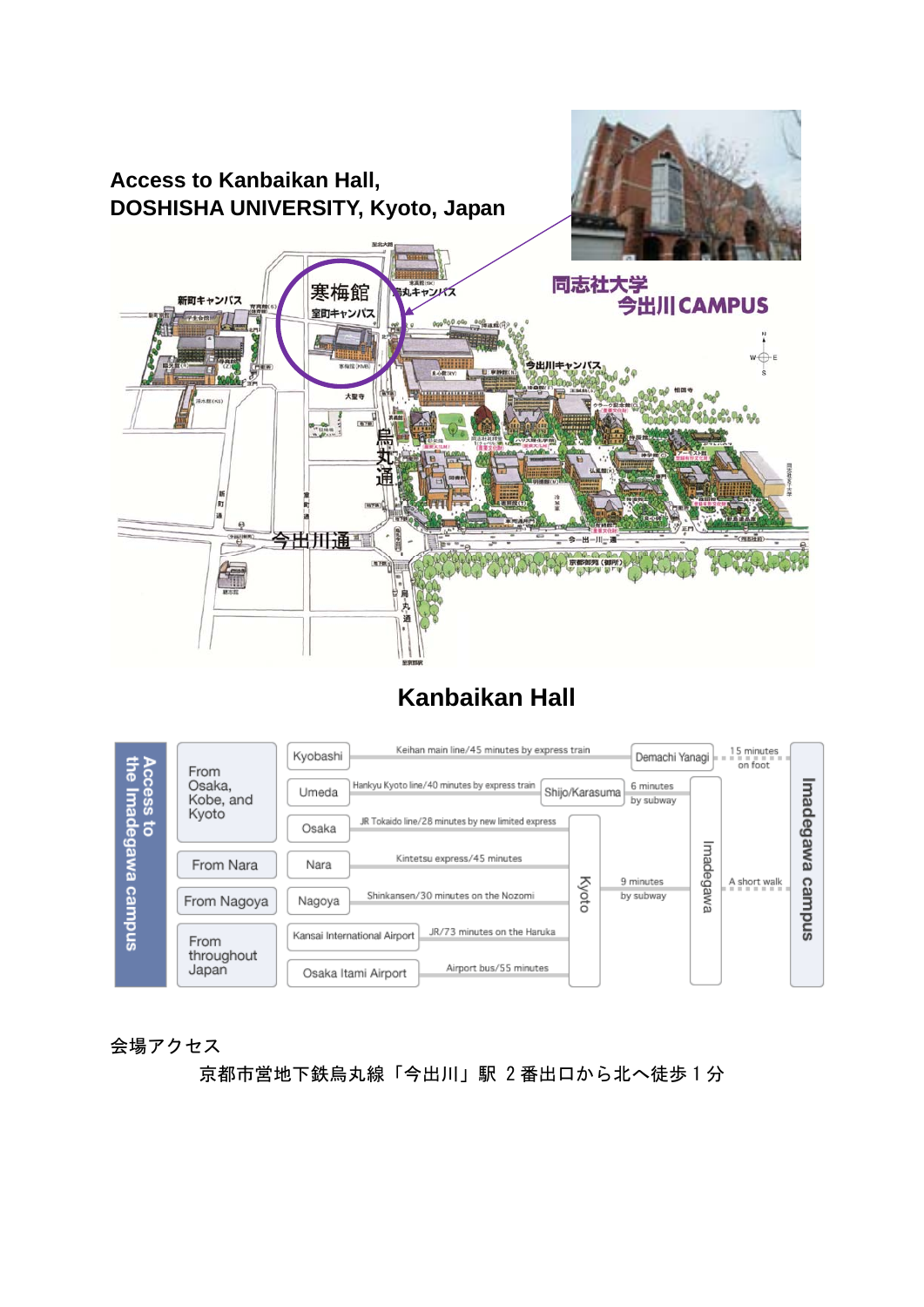

## **Kanbaikan Hall**



会場アクセス

京都市営地下鉄烏丸線「今出川」駅 2 番出口から北へ徒歩 1 分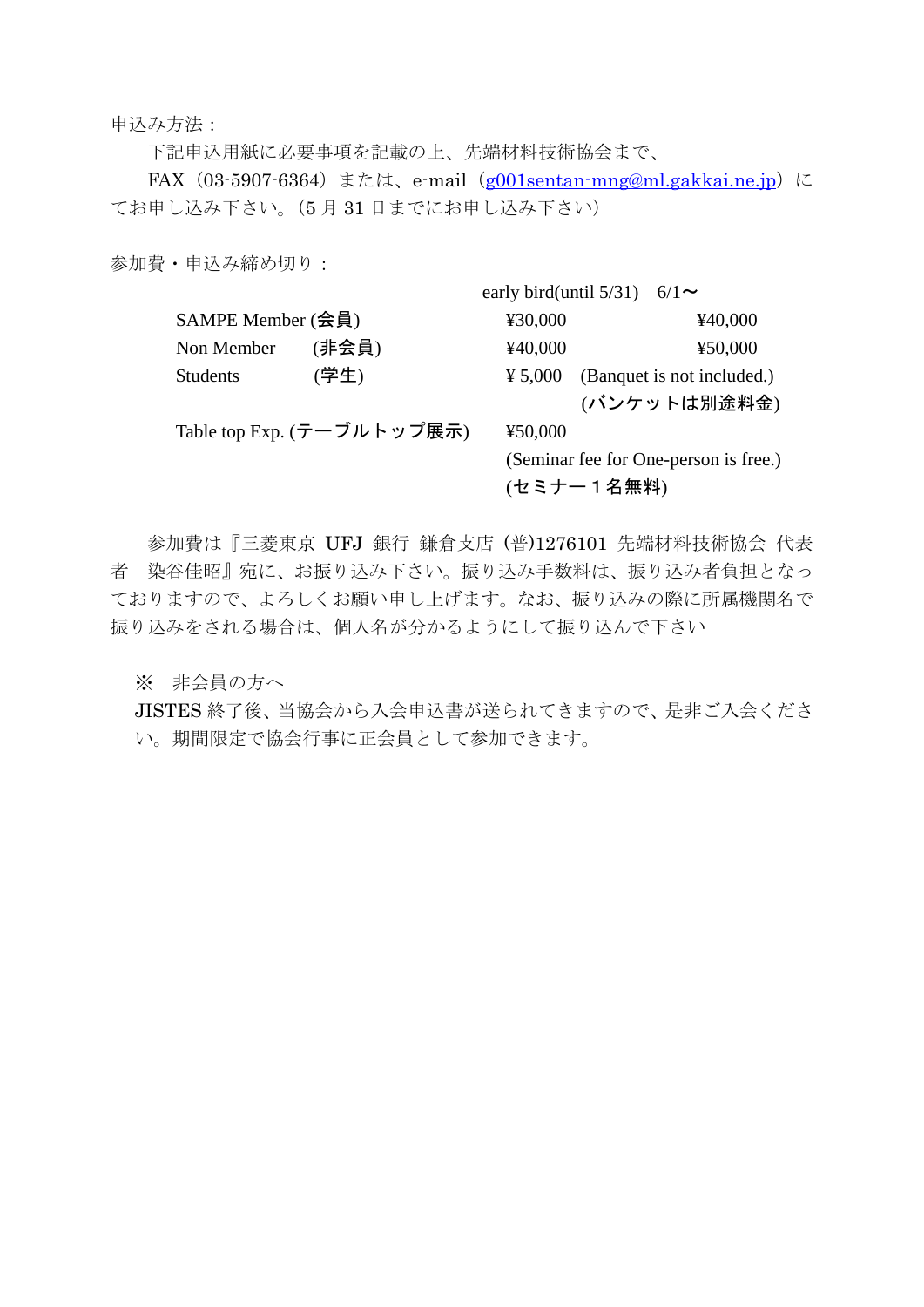申込み方法:

下記申込用紙に必要事項を記載の上、先端材料技術協会まで、

FAX  $(03-5907-6364)$ または、e-mail $(g001$ sentan-mng@ml.gakkai.ne.jp)に てお申し込み下さい。(5 月 31 日までにお申し込み下さい)

参加費・申込み締め切り:

|                   |                            | early bird(until $5/31$ ) | $6/1$ ~                               |
|-------------------|----------------------------|---------------------------|---------------------------------------|
| SAMPE Member (会員) |                            | ¥30,000                   | ¥40,000                               |
| Non Member        | (非会員)                      | ¥40,000                   | ¥50,000                               |
| <b>Students</b>   | (学生)                       | ¥ 5,000                   | (Banquet is not included.)            |
|                   |                            |                           | (バンケットは別途料金)                          |
|                   | Table top Exp. (テーブルトップ展示) | ¥50,000                   |                                       |
|                   |                            |                           | (Seminar fee for One-person is free.) |
|                   |                            | (セミナー1名無料)                |                                       |

参加費は『三菱東京 UFJ 銀行 鎌倉支店 (普)1276101 先端材料技術協会 代表 者 染谷佳昭』宛に、お振り込み下さい。振り込み手数料は、振り込み者負担となっ ておりますので、よろしくお願い申し上げます。なお、振り込みの際に所属機関名で 振り込みをされる場合は、個人名が分かるようにして振り込んで下さい

※ 非会員の方へ

JISTES 終了後、当協会から入会申込書が送られてきますので、是非ご入会くださ い。期間限定で協会行事に正会員として参加できます。